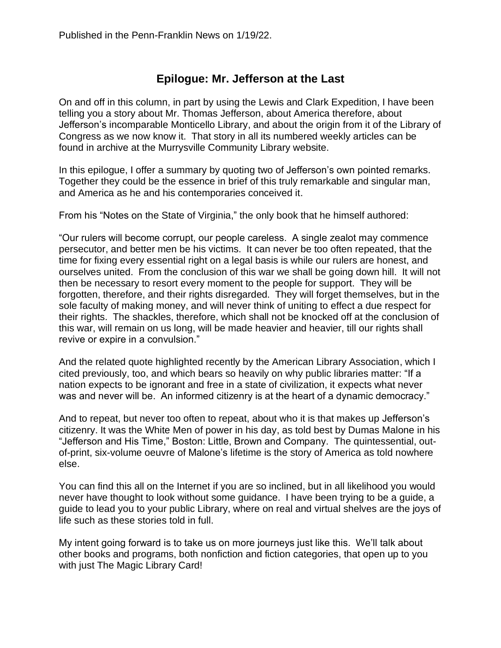## **Epilogue: Mr. Jefferson at the Last**

On and off in this column, in part by using the Lewis and Clark Expedition, I have been telling you a story about Mr. Thomas Jefferson, about America therefore, about Jefferson's incomparable Monticello Library, and about the origin from it of the Library of Congress as we now know it. That story in all its numbered weekly articles can be found in archive at the Murrysville Community Library website.

In this epilogue, I offer a summary by quoting two of Jefferson's own pointed remarks. Together they could be the essence in brief of this truly remarkable and singular man, and America as he and his contemporaries conceived it.

From his "Notes on the State of Virginia," the only book that he himself authored:

"Our rulers will become corrupt, our people careless. A single zealot may commence persecutor, and better men be his victims. It can never be too often repeated, that the time for fixing every essential right on a legal basis is while our rulers are honest, and ourselves united. From the conclusion of this war we shall be going down hill. It will not then be necessary to resort every moment to the people for support. They will be forgotten, therefore, and their rights disregarded. They will forget themselves, but in the sole faculty of making money, and will never think of uniting to effect a due respect for their rights. The shackles, therefore, which shall not be knocked off at the conclusion of this war, will remain on us long, will be made heavier and heavier, till our rights shall revive or expire in a convulsion."

And the related quote highlighted recently by the American Library Association, which I cited previously, too, and which bears so heavily on why public libraries matter: "If a nation expects to be ignorant and free in a state of civilization, it expects what never was and never will be. An informed citizenry is at the heart of a dynamic democracy."

And to repeat, but never too often to repeat, about who it is that makes up Jefferson's citizenry. It was the White Men of power in his day, as told best by Dumas Malone in his "Jefferson and His Time," Boston: Little, Brown and Company. The quintessential, outof-print, six-volume oeuvre of Malone's lifetime is the story of America as told nowhere else.

You can find this all on the Internet if you are so inclined, but in all likelihood you would never have thought to look without some guidance. I have been trying to be a guide, a guide to lead you to your public Library, where on real and virtual shelves are the joys of life such as these stories told in full.

My intent going forward is to take us on more journeys just like this. We'll talk about other books and programs, both nonfiction and fiction categories, that open up to you with just The Magic Library Card!